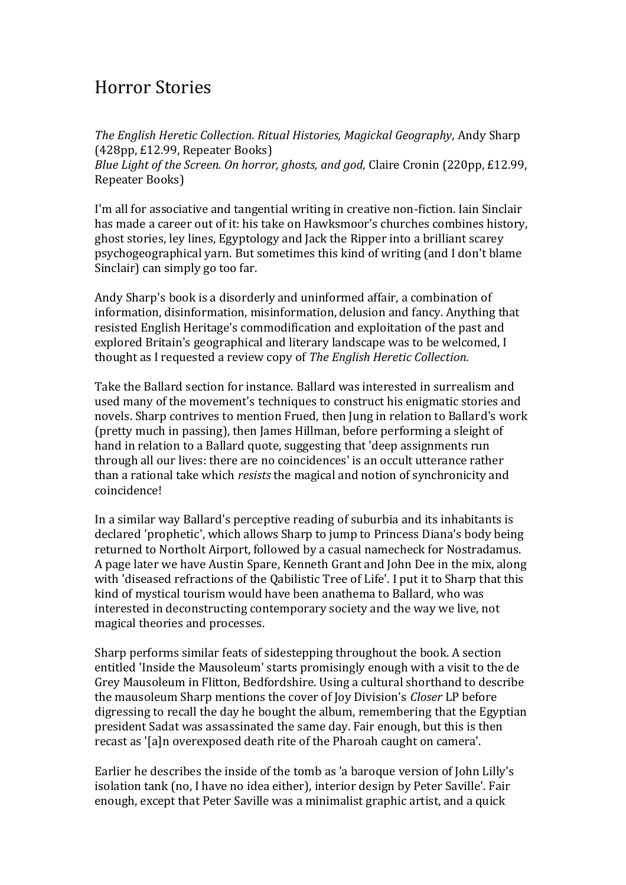## Horror Stories

*The English Heretic Collection. Ritual Histories, Magickal Geography*, Andy Sharp (428pp, £12.99, Repeater Books) *Blue Light of the Screen. On horror, ghosts, and god*, Claire Cronin (220pp, £12.99, Repeater Books)

I'm all for associative and tangential writing in creative non-fiction. Iain Sinclair has made a career out of it: his take on Hawksmoor's churches combines history, ghost stories, ley lines, Egyptology and Jack the Ripper into a brilliant scarey psychogeographical yarn. But sometimes this kind of writing (and I don't blame Sinclair) can simply go too far.

Andy Sharp's book is a disorderly and uninformed affair, a combination of information, disinformation, misinformation, delusion and fancy. Anything that resisted English Heritage's commodification and exploitation of the past and explored Britain's geographical and literary landscape was to be welcomed, I thought as I requested a review copy of *The English Heretic Collection*.

Take the Ballard section for instance. Ballard was interested in surrealism and used many of the movement's techniques to construct his enigmatic stories and novels. Sharp contrives to mention Frued, then Jung in relation to Ballard's work (pretty much in passing), then James Hillman, before performing a sleight of hand in relation to a Ballard quote, suggesting that 'deep assignments run through all our lives: there are no coincidences' is an occult utterance rather than a rational take which *resists* the magical and notion of synchronicity and coincidence!

In a similar way Ballard's perceptive reading of suburbia and its inhabitants is declared 'prophetic', which allows Sharp to jump to Princess Diana's body being returned to Northolt Airport, followed by a casual namecheck for Nostradamus. A page later we have Austin Spare, Kenneth Grant and John Dee in the mix, along with 'diseased refractions of the Qabilistic Tree of Life'. I put it to Sharp that this kind of mystical tourism would have been anathema to Ballard, who was interested in deconstructing contemporary society and the way we live, not magical theories and processes.

Sharp performs similar feats of sidestepping throughout the book. A section entitled 'Inside the Mausoleum' starts promisingly enough with a visit to the de Grey Mausoleum in Flitton, Bedfordshire. Using a cultural shorthand to describe the mausoleum Sharp mentions the cover of Joy Division's *Closer* LP before digressing to recall the day he bought the album, remembering that the Egyptian president Sadat was assassinated the same day. Fair enough, but this is then recast as '[a]n overexposed death rite of the Pharoah caught on camera'.

Earlier he describes the inside of the tomb as 'a baroque version of John Lilly's isolation tank (no, I have no idea either), interior design by Peter Saville'. Fair enough, except that Peter Saville was a minimalist graphic artist, and a quick